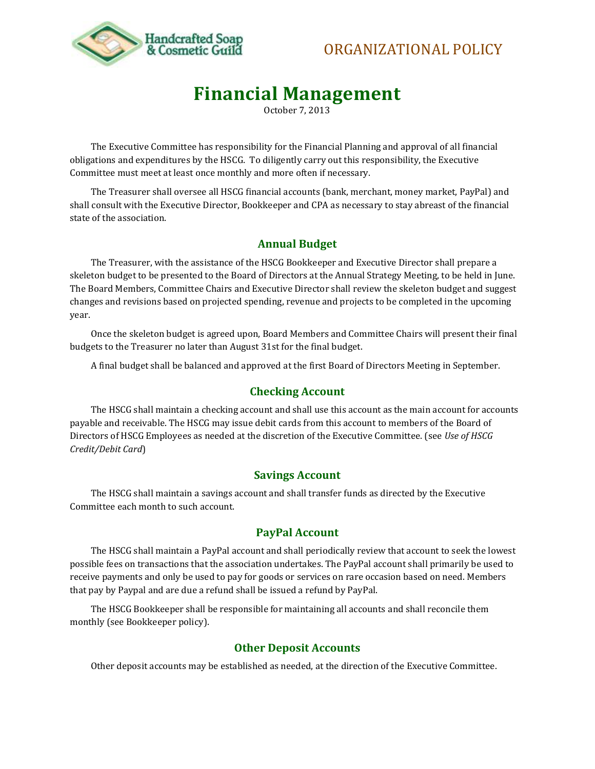

## ORGANIZATIONAL POLICY

# **Financial Management**

October 7, 2013

The Executive Committee has responsibility for the Financial Planning and approval of all financial obligations and expenditures by the HSCG. To diligently carry out this responsibility, the Executive Committee must meet at least once monthly and more often if necessary.

The Treasurer shall oversee all HSCG financial accounts (bank, merchant, money market, PayPal) and shall consult with the Executive Director, Bookkeeper and CPA as necessary to stay abreast of the financial state of the association.

#### **Annual Budget**

The Treasurer, with the assistance of the HSCG Bookkeeper and Executive Director shall prepare a skeleton budget to be presented to the Board of Directors at the Annual Strategy Meeting, to be held in June. The Board Members, Committee Chairs and Executive Director shall review the skeleton budget and suggest changes and revisions based on projected spending, revenue and projects to be completed in the upcoming year.

Once the skeleton budget is agreed upon, Board Members and Committee Chairs will present their final budgets to the Treasurer no later than August 31st for the final budget.

A final budget shall be balanced and approved at the first Board of Directors Meeting in September.

#### **Checking Account**

The HSCG shall maintain a checking account and shall use this account as the main account for accounts payable and receivable. The HSCG may issue debit cards from this account to members of the Board of Directors of HSCG Employees as needed at the discretion of the Executive Committee. (see *Use of HSCG Credit/Debit Card*)

#### **Savings Account**

The HSCG shall maintain a savings account and shall transfer funds as directed by the Executive Committee each month to such account.

#### **PayPal Account**

The HSCG shall maintain a PayPal account and shall periodically review that account to seek the lowest possible fees on transactions that the association undertakes. The PayPal account shall primarily be used to receive payments and only be used to pay for goods or services on rare occasion based on need. Members that pay by Paypal and are due a refund shall be issued a refund by PayPal.

The HSCG Bookkeeper shall be responsible for maintaining all accounts and shall reconcile them monthly (see Bookkeeper policy).

#### **Other Deposit Accounts**

Other deposit accounts may be established as needed, at the direction of the Executive Committee.